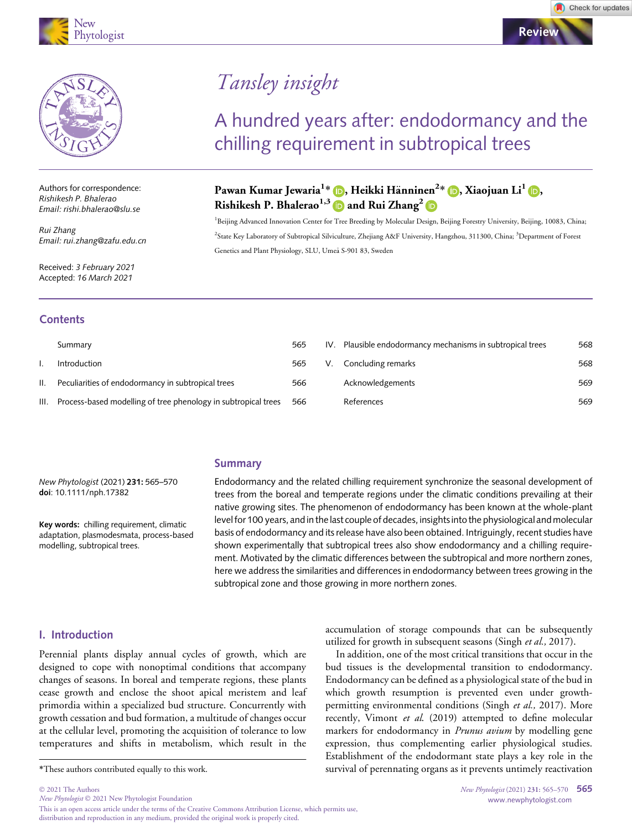



Authors for correspondence: Rishikesh P. Bhalerao Email: rishi.bhalerao@slu.se

Rui Zhang Email: rui.zhang@zafu.edu.cn

Received: 3 February 2021 Accepted: 16 March 2021

# Tansley insight

## A hundred years after: endodormancy and the chilling requirement in subtropical trees

### Pawan Kumar Jewaria<sup>1</sup>\* (D, Heikki Hänninen<sup>2</sup>\* (D, Xiaojuan Li<sup>1</sup> (D, Rishikesh P. Bhalerao<sup>1,3</sup> and Rui Zhang<sup>[2](https://orcid.org/0000-0002-7235-505X)</sup>

<sup>1</sup>Beijing Advanced Innovation Center for Tree Breeding by Molecular Design, Beijing Forestry University, Beijing, 10083, China; <sup>2</sup>State Key Laboratory of Subtropical Silviculture, Zhejiang A&F University, Hangzhou, 311300, China; <sup>3</sup>Department of Forest Genetics and Plant Physiology, SLU, Umeå S-901 83, Sweden

#### **Contents**

|      | Summary                                                        | 565 | IV. Plausible endodormancy mechanisms in subtropical trees | 568 |
|------|----------------------------------------------------------------|-----|------------------------------------------------------------|-----|
|      | Introduction                                                   | 565 | Concluding remarks                                         | 568 |
| Ш.   | Peculiarities of endodormancy in subtropical trees             | 566 | Acknowledgements                                           | 569 |
| III. | Process-based modelling of tree phenology in subtropical trees | 566 | References                                                 | 569 |

#### Summary

New Phytologist (2021) 231: 565–570 doi: 10.1111/nph.17382

Key words: chilling requirement, climatic adaptation, plasmodesmata, process-based modelling, subtropical trees.

Endodormancy and the related chilling requirement synchronize the seasonal development of trees from the boreal and temperate regions under the climatic conditions prevailing at their native growing sites. The phenomenon of endodormancy has been known at the whole-plant level for 100 years, and in the last couple of decades, insights into the physiological and molecular basis of endodormancy and its release have also been obtained. Intriguingly, recent studies have shown experimentally that subtropical trees also show endodormancy and a chilling requirement. Motivated by the climatic differences between the subtropical and more northern zones, here we address the similarities and differences in endodormancy between trees growing in the subtropical zone and those growing in more northern zones.

#### I. Introduction

2021 The Authors

Perennial plants display annual cycles of growth, which are designed to cope with nonoptimal conditions that accompany changes of seasons. In boreal and temperate regions, these plants cease growth and enclose the shoot apical meristem and leaf primordia within a specialized bud structure. Concurrently with growth cessation and bud formation, a multitude of changes occur at the cellular level, promoting the acquisition of tolerance to low temperatures and shifts in metabolism, which result in the

New Phytologist © 2021 New Phytologist Foundation This is an open access article under the terms of the [Creative Commons Attribution](http://creativecommons.org/licenses/by/4.0/) License, which permits use, distribution and reproduction in any medium, provided the original work is properly cited.

accumulation of storage compounds that can be subsequently utilized for growth in subsequent seasons (Singh et al., 2017).

In addition, one of the most critical transitions that occur in the bud tissues is the developmental transition to endodormancy. Endodormancy can be defined as a physiological state of the bud in which growth resumption is prevented even under growthpermitting environmental conditions (Singh et al., 2017). More recently, Vimont et al. (2019) attempted to define molecular markers for endodormancy in *Prunus avium* by modelling gene expression, thus complementing earlier physiological studies. Establishment of the endodormant state plays a key role in the \*These authors contributed equally to this work. survival of perennating organs as it prevents untimely reactivation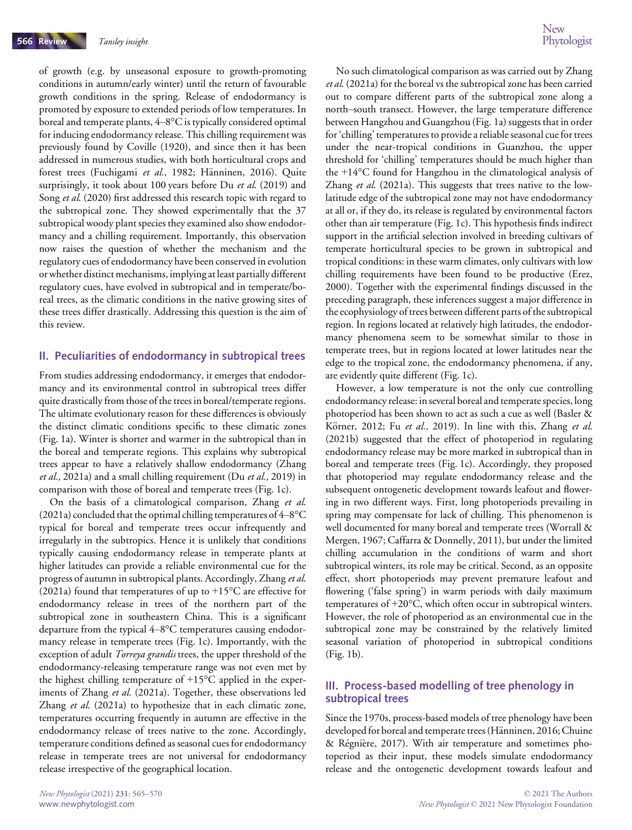of growth (e.g. by unseasonal exposure to growth-promoting conditions in autumn/early winter) until the return of favourable growth conditions in the spring. Release of endodormancy is promoted by exposure to extended periods of low temperatures. In boreal and temperate plants, 4–8°C is typically considered optimal for inducing endodormancy release. This chilling requirement was previously found by Coville (1920), and since then it has been addressed in numerous studies, with both horticultural crops and forest trees (Fuchigami et al., 1982; Hänninen, 2016). Quite surprisingly, it took about 100 years before Du et al. (2019) and Song et al. (2020) first addressed this research topic with regard to the subtropical zone. They showed experimentally that the 37 subtropical woody plant species they examined also show endodormancy and a chilling requirement. Importantly, this observation now raises the question of whether the mechanism and the regulatory cues of endodormancy have been conserved in evolution or whether distinct mechanisms, implying at least partially different regulatory cues, have evolved in subtropical and in temperate/boreal trees, as the climatic conditions in the native growing sites of these trees differ drastically. Addressing this question is the aim of this review.

#### II. Peculiarities of endodormancy in subtropical trees

From studies addressing endodormancy, it emerges that endodormancy and its environmental control in subtropical trees differ quite drastically from those of the trees in boreal/temperate regions. The ultimate evolutionary reason for these differences is obviously the distinct climatic conditions specific to these climatic zones (Fig. 1a). Winter is shorter and warmer in the subtropical than in the boreal and temperate regions. This explains why subtropical trees appear to have a relatively shallow endodormancy (Zhang et al., 2021a) and a small chilling requirement (Du et al., 2019) in comparison with those of boreal and temperate trees (Fig. 1c).

On the basis of a climatological comparison, Zhang et al. (2021a) concluded that the optimal chilling temperatures of 4–8°C typical for boreal and temperate trees occur infrequently and irregularly in the subtropics. Hence it is unlikely that conditions typically causing endodormancy release in temperate plants at higher latitudes can provide a reliable environmental cue for the progress of autumn in subtropical plants. Accordingly, Zhang et al. (2021a) found that temperatures of up to  $+15^{\circ}$ C are effective for endodormancy release in trees of the northern part of the subtropical zone in southeastern China. This is a significant departure from the typical 4–8°C temperatures causing endodormancy release in temperate trees (Fig. 1c). Importantly, with the exception of adult Torreya grandis trees, the upper threshold of the endodormancy-releasing temperature range was not even met by the highest chilling temperature of  $+15^{\circ}$ C applied in the experiments of Zhang et al. (2021a). Together, these observations led Zhang et al. (2021a) to hypothesize that in each climatic zone, temperatures occurring frequently in autumn are effective in the endodormancy release of trees native to the zone. Accordingly, temperature conditions defined as seasonal cues for endodormancy release in temperate trees are not universal for endodormancy release irrespective of the geographical location.

No such climatological comparison as was carried out by Zhang et al. (2021a) for the boreal vs the subtropical zone has been carried out to compare different parts of the subtropical zone along a north–south transect. However, the large temperature difference between Hangzhou and Guangzhou (Fig. 1a) suggests that in order for 'chilling' temperatures to provide a reliable seasonal cue for trees under the near-tropical conditions in Guanzhou, the upper threshold for 'chilling' temperatures should be much higher than the +14°C found for Hangzhou in the climatological analysis of Zhang et al. (2021a). This suggests that trees native to the lowlatitude edge of the subtropical zone may not have endodormancy at all or, if they do, its release is regulated by environmental factors other than air temperature (Fig. 1c). This hypothesis finds indirect support in the artificial selection involved in breeding cultivars of temperate horticultural species to be grown in subtropical and tropical conditions: in these warm climates, only cultivars with low chilling requirements have been found to be productive (Erez, 2000). Together with the experimental findings discussed in the preceding paragraph, these inferences suggest a major difference in the ecophysiology of trees between different parts of the subtropical region. In regions located at relatively high latitudes, the endodormancy phenomena seem to be somewhat similar to those in temperate trees, but in regions located at lower latitudes near the edge to the tropical zone, the endodormancy phenomena, if any, are evidently quite different (Fig. 1c).

However, a low temperature is not the only cue controlling endodormancy release: in several boreal and temperate species, long photoperiod has been shown to act as such a cue as well (Basler & Körner, 2012; Fu et al., 2019). In line with this, Zhang et al. (2021b) suggested that the effect of photoperiod in regulating endodormancy release may be more marked in subtropical than in boreal and temperate trees (Fig. 1c). Accordingly, they proposed that photoperiod may regulate endodormancy release and the subsequent ontogenetic development towards leafout and flowering in two different ways. First, long photoperiods prevailing in spring may compensate for lack of chilling. This phenomenon is well documented for many boreal and temperate trees (Worrall & Mergen, 1967; Caffarra & Donnelly, 2011), but under the limited chilling accumulation in the conditions of warm and short subtropical winters, its role may be critical. Second, as an opposite effect, short photoperiods may prevent premature leafout and flowering ('false spring') in warm periods with daily maximum temperatures of +20°C, which often occur in subtropical winters. However, the role of photoperiod as an environmental cue in the subtropical zone may be constrained by the relatively limited seasonal variation of photoperiod in subtropical conditions (Fig. 1b).

#### III. Process-based modelling of tree phenology in subtropical trees

Since the 1970s, process-based models of tree phenology have been developed for boreal and temperate trees (Hänninen, 2016; Chuine & Regniere, 2017). With air temperature and sometimes photoperiod as their input, these models simulate endodormancy release and the ontogenetic development towards leafout and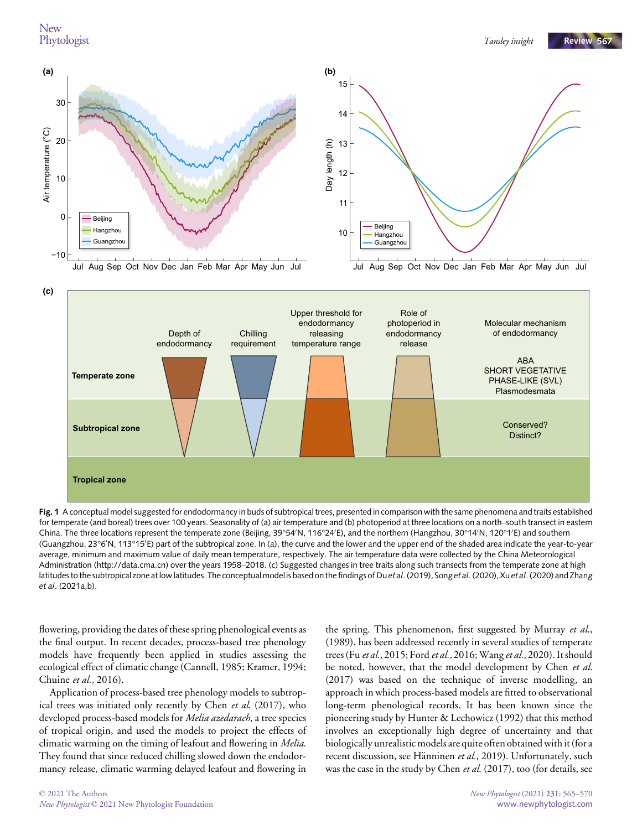



for temperate (and boreal) trees over 100 years. Seasonality of (a) air temperature and (b) photoperiod at three locations on a north–south transect in eastern China. The three locations represent the temperate zone (Beijing, 39°54′N, 116°24′E), and the northern (Hangzhou, 30°14′N, 120°1′E) and southern (Guangzhou, 23°6'N, 113°15'E) part of the subtropical zone. In (a), the curve and the lower and the upper end of the shaded area indicate the year-to-year average, minimum and maximum value of daily mean temperature, respectively. The air temperature data were collected by the China Meteorological Administration [\(http://data.cma.cn](http://data.cma.cn)) over the years 1958–2018. (c) Suggested changes in tree traits along such transects from the temperate zone at high latitudes to the subtropical zone at low latitudes. The conceptual model is based on the findings of Du et al. (2019), Song et al. (2020), Xu et al. (2020) and Zhang et al. (2021a,b).

flowering, providing the dates of these spring phenological events as the final output. In recent decades, process-based tree phenology models have frequently been applied in studies assessing the ecological effect of climatic change (Cannell, 1985; Kramer, 1994; Chuine et al., 2016).

Application of process-based tree phenology models to subtropical trees was initiated only recently by Chen et al. (2017), who developed process-based models for *Melia azedarach*, a tree species of tropical origin, and used the models to project the effects of climatic warming on the timing of leafout and flowering in Melia. They found that since reduced chilling slowed down the endodormancy release, climatic warming delayed leafout and flowering in

the spring. This phenomenon, first suggested by Murray et al., (1989), has been addressed recently in several studies of temperate trees (Fu et al., 2015; Ford et al., 2016; Wang et al., 2020). It should be noted, however, that the model development by Chen et al. (2017) was based on the technique of inverse modelling, an approach in which process-based models are fitted to observational long-term phenological records. It has been known since the pioneering study by Hunter & Lechowicz (1992) that this method involves an exceptionally high degree of uncertainty and that biologically unrealistic models are quite often obtained with it (for a recent discussion, see Hänninen et al., 2019). Unfortunately, such was the case in the study by Chen et al. (2017), too (for details, see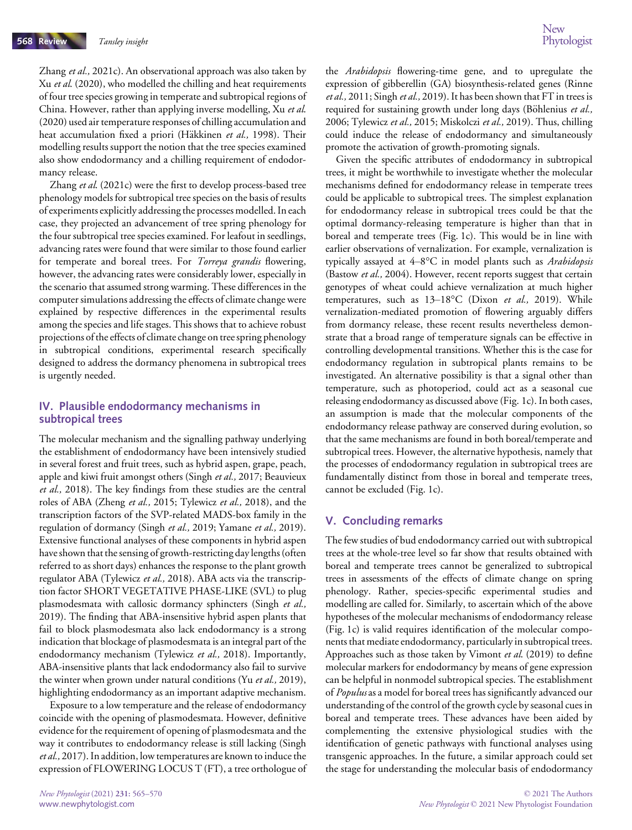Zhang et al., 2021c). An observational approach was also taken by Xu et al. (2020), who modelled the chilling and heat requirements of four tree species growing in temperate and subtropical regions of China. However, rather than applying inverse modelling, Xu et al. (2020) used air temperature responses of chilling accumulation and heat accumulation fixed a priori (Häkkinen et al., 1998). Their modelling results support the notion that the tree species examined also show endodormancy and a chilling requirement of endodormancy release.

Zhang et al. (2021c) were the first to develop process-based tree phenology models for subtropical tree species on the basis of results of experiments explicitly addressing the processes modelled. In each case, they projected an advancement of tree spring phenology for the four subtropical tree species examined. For leafout in seedlings, advancing rates were found that were similar to those found earlier for temperate and boreal trees. For Torreya grandis flowering, however, the advancing rates were considerably lower, especially in the scenario that assumed strong warming. These differences in the computer simulations addressing the effects of climate change were explained by respective differences in the experimental results among the species and life stages. This shows that to achieve robust projections of the effects of climate change on tree spring phenology in subtropical conditions, experimental research specifically designed to address the dormancy phenomena in subtropical trees is urgently needed.

#### IV. Plausible endodormancy mechanisms in subtropical trees

The molecular mechanism and the signalling pathway underlying the establishment of endodormancy have been intensively studied in several forest and fruit trees, such as hybrid aspen, grape, peach, apple and kiwi fruit amongst others (Singh et al., 2017; Beauvieux et al., 2018). The key findings from these studies are the central roles of ABA (Zheng et al., 2015; Tylewicz et al., 2018), and the transcription factors of the SVP-related MADS-box family in the regulation of dormancy (Singh et al., 2019; Yamane et al., 2019). Extensive functional analyses of these components in hybrid aspen have shown that the sensing of growth-restricting day lengths (often referred to as short days) enhances the response to the plant growth regulator ABA (Tylewicz et al., 2018). ABA acts via the transcription factor SHORT VEGETATIVE PHASE-LIKE (SVL) to plug plasmodesmata with callosic dormancy sphincters (Singh et al., 2019). The finding that ABA-insensitive hybrid aspen plants that fail to block plasmodesmata also lack endodormancy is a strong indication that blockage of plasmodesmata is an integral part of the endodormancy mechanism (Tylewicz et al., 2018). Importantly, ABA-insensitive plants that lack endodormancy also fail to survive the winter when grown under natural conditions (Yu et al., 2019), highlighting endodormancy as an important adaptive mechanism.

Exposure to a low temperature and the release of endodormancy coincide with the opening of plasmodesmata. However, definitive evidence for the requirement of opening of plasmodesmata and the way it contributes to endodormancy release is still lacking (Singh et al., 2017). In addition, low temperatures are known to induce the expression of FLOWERING LOCUS T (FT), a tree orthologue of the Arabidopsis flowering-time gene, and to upregulate the expression of gibberellin (GA) biosynthesis-related genes (Rinne et al., 2011; Singh et al., 2019). It has been shown that FT in trees is required for sustaining growth under long days (Böhlenius et al., 2006; Tylewicz et al., 2015; Miskolczi et al., 2019). Thus, chilling could induce the release of endodormancy and simultaneously promote the activation of growth-promoting signals.

Given the specific attributes of endodormancy in subtropical trees, it might be worthwhile to investigate whether the molecular mechanisms defined for endodormancy release in temperate trees could be applicable to subtropical trees. The simplest explanation for endodormancy release in subtropical trees could be that the optimal dormancy-releasing temperature is higher than that in boreal and temperate trees (Fig. 1c). This would be in line with earlier observations of vernalization. For example, vernalization is typically assayed at 4–8°C in model plants such as Arabidopsis (Bastow et al., 2004). However, recent reports suggest that certain genotypes of wheat could achieve vernalization at much higher temperatures, such as 13-18°C (Dixon et al., 2019). While vernalization-mediated promotion of flowering arguably differs from dormancy release, these recent results nevertheless demonstrate that a broad range of temperature signals can be effective in controlling developmental transitions. Whether this is the case for endodormancy regulation in subtropical plants remains to be investigated. An alternative possibility is that a signal other than temperature, such as photoperiod, could act as a seasonal cue releasing endodormancy as discussed above (Fig. 1c). In both cases, an assumption is made that the molecular components of the endodormancy release pathway are conserved during evolution, so that the same mechanisms are found in both boreal/temperate and subtropical trees. However, the alternative hypothesis, namely that the processes of endodormancy regulation in subtropical trees are fundamentally distinct from those in boreal and temperate trees, cannot be excluded (Fig. 1c).

#### V. Concluding remarks

The few studies of bud endodormancy carried out with subtropical trees at the whole-tree level so far show that results obtained with boreal and temperate trees cannot be generalized to subtropical trees in assessments of the effects of climate change on spring phenology. Rather, species-specific experimental studies and modelling are called for. Similarly, to ascertain which of the above hypotheses of the molecular mechanisms of endodormancy release (Fig. 1c) is valid requires identification of the molecular components that mediate endodormancy, particularly in subtropical trees. Approaches such as those taken by Vimont et al. (2019) to define molecular markers for endodormancy by means of gene expression can be helpful in nonmodel subtropical species. The establishment of Populus as a model for boreal trees has significantly advanced our understanding of the control of the growth cycle by seasonal cues in boreal and temperate trees. These advances have been aided by complementing the extensive physiological studies with the identification of genetic pathways with functional analyses using transgenic approaches. In the future, a similar approach could set the stage for understanding the molecular basis of endodormancy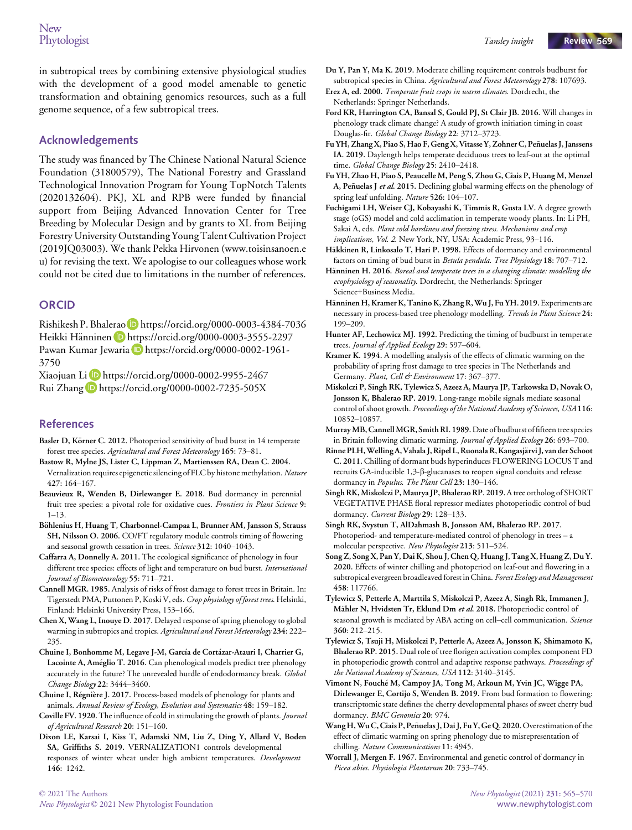in subtropical trees by combining extensive physiological studies with the development of a good model amenable to genetic transformation and obtaining genomics resources, such as a full genome sequence, of a few subtropical trees.

#### Acknowledgements

The study was financed by The Chinese National Natural Science Foundation (31800579), The National Forestry and Grassland Technological Innovation Program for Young TopNotch Talents (2020132604). PKJ, XL and RPB were funded by financial support from Beijing Advanced Innovation Center for Tree Breeding by Molecular Design and by grants to XL from Beijing Forestry University Outstanding Young Talent Cultivation Project (2019JQ03003). We thank Pekka Hirvonen ([www.toisinsanoen.e](http://www.toisinsanoen.eu) [u\)](http://www.toisinsanoen.eu) for revising the text. We apologise to our colleagues whose work could not be cited due to limitations in the number of references.

#### **ORCID**

Rishikesh P. Bhalerao **https://orcid.org/0000-0003-4384-7036** Heikki Hänninen D https://orcid.org/0000-0003-3555-2297 Pawan Kumar Jewaria D https://orcid.org/0000-0002-1961-3750

Xiaojuan Li D https://orcid.org/0000-0002-9955-2467 Rui Zhang D https://orcid.org/0000-0002-7235-505X

#### References

- Basler D, Körner C. 2012. Photoperiod sensitivity of bud burst in 14 temperate forest tree species. Agricultural and Forest Meteorology 165: 73–81.
- Bastow R, Mylne JS, Lister C, Lippman Z, Martienssen RA, Dean C. 2004. Vernalization requires epigenetic silencing of FLC by histone methylation. Nature 427: 164–167.
- Beauvieux R, Wenden B, Dirlewanger E. 2018. Bud dormancy in perennial fruit tree species: a pivotal role for oxidative cues. Frontiers in Plant Science 9: 1–13.
- Böhlenius H, Huang T, Charbonnel-Campaa L, Brunner AM, Jansson S, Strauss SH, Nilsson O. 2006. CO/FT regulatory module controls timing of flowering and seasonal growth cessation in trees. Science 312: 1040–1043.
- Caffarra A, Donnelly A. 2011. The ecological significance of phenology in four different tree species: effects of light and temperature on bud burst. International Journal of Biometeorology 55: 711–721.
- Cannell MGR. 1985. Analysis of risks of frost damage to forest trees in Britain. In: Tigerstedt PMA, Puttonen P, Koski V, eds. Crop physiology of forest trees. Helsinki, Finland: Helsinki University Press, 153–166.
- Chen X, Wang L, Inouye D. 2017. Delayed response of spring phenology to global warming in subtropics and tropics. Agricultural and Forest Meteorology 234: 222-235.
- Chuine I, Bonhomme M, Legave J-M, García de Cortázar-Atauri I, Charrier G, Lacointe A, Ameglio T. 2016. Can phenological models predict tree phenology accurately in the future? The unrevealed hurdle of endodormancy break. Global Change Biology 22: 3444–3460.
- Chuine I, Regniere J. 2017. Process-based models of phenology for plants and animals. Annual Review of Ecology, Evolution and Systematics 48: 159–182.
- Coville FV. 1920. The influence of cold in stimulating the growth of plants. Journal of Agricultural Research 20: 151–160.
- Dixon LE, Karsai I, Kiss T, Adamski NM, Liu Z, Ding Y, Allard V, Boden SA, Griffiths S. 2019. VERNALIZATION1 controls developmental responses of winter wheat under high ambient temperatures. Development 146: 1242.
- Du Y, Pan Y, Ma K. 2019. Moderate chilling requirement controls budburst for subtropical species in China. Agricultural and Forest Meteorology 278: 107693.
- Erez A, ed. 2000. Temperate fruit crops in warm climates. Dordrecht, the Netherlands: Springer Netherlands.
- Ford KR, Harrington CA, Bansal S, Gould PJ, St Clair JB. 2016. Will changes in phenology track climate change? A study of growth initiation timing in coast Douglas-fir. Global Change Biology 22: 3712–3723.
- Fu YH, Zhang X, Piao S, Hao F, Geng X, Vitasse Y, Zohner C, Penuelas J, Janssens ~ IA. 2019. Daylength helps temperate deciduous trees to leaf-out at the optimal time. Global Change Biology 25: 2410-2418.
- Fu YH, Zhao H, Piao S, Peaucelle M, Peng S, Zhou G, Ciais P, Huang M, Menzel A, Penuelas J et al. 2015. Declining global warming effects on the phenology of spring leaf unfolding. Nature 526: 104-107.
- Fuchigami LH, Weiser CJ, Kobayashi K, Timmis R, Gusta LV. A degree growth stage (oGS) model and cold acclimation in temperate woody plants. In: Li PH, Sakai A, eds. Plant cold hardiness and freezing stress. Mechanisms and crop implications, Vol. 2. New York, NY, USA: Academic Press, 93–116.
- Häkkinen R, Linkosalo T, Hari P. 1998. Effects of dormancy and environmental factors on timing of bud burst in Betula pendula. Tree Physiology 18: 707-712.
- Hänninen H. 2016. Boreal and temperate trees in a changing climate: modelling the ecophysiology of seasonality. Dordrecht, the Netherlands: Springer Science+Business Media.
- Hänninen H, Kramer K, Tanino K, Zhang R, Wu J, Fu YH. 2019. Experiments are necessary in process-based tree phenology modelling. Trends in Plant Science 24: 199–209.
- Hunter AF, Lechowicz MJ. 1992. Predicting the timing of budburst in temperate trees. Journal of Applied Ecology 29: 597–604.
- Kramer K. 1994. A modelling analysis of the effects of climatic warming on the probability of spring frost damage to tree species in The Netherlands and Germany. Plant, Cell & Environment 17: 367-377.
- Miskolczi P, Singh RK, Tylewicz S, Azeez A, Maurya JP, Tarkowska D, Novak O, Jonsson K, Bhalerao RP. 2019. Long-range mobile signals mediate seasonal control of shoot growth. Proceedings of the National Academy of Sciences, USA 116: 10852–10857.

MurrayMB,CannellMGR, Smith RI. 1989.Date of budburst of fifteen tree species in Britain following climatic warming. Journal of Applied Ecology 26: 693–700.

- Rinne PLH, Welling A, Vahala J, Ripel L, Ruonala R, Kangasjärvi J, van der Schoot C. 2011. Chilling of dormant buds hyperinduces FLOWERING LOCUS T and recruits GA-inducible 1,3-b-glucanases to reopen signal conduits and release dormancy in Populus. The Plant Cell 23: 130-146.
- Singh RK, Miskolczi P, Maurya JP, Bhalerao RP. 2019.A tree ortholog of SHORT VEGETATIVE PHASE floral repressor mediates photoperiodic control of bud dormancy. Current Biology 29: 128-133.
- Singh RK, Svystun T, AlDahmash B, Jonsson AM, Bhalerao RP. 2017. Photoperiod- and temperature-mediated control of phenology in trees – a molecular perspective. New Phytologist 213: 511–524.
- Song Z, Song X, Pan Y, Dai K, Shou J, Chen Q, Huang J, Tang X, Huang Z, Du Y. 2020. Effects of winter chilling and photoperiod on leaf-out and flowering in a subtropical evergreen broadleaved forest in China. Forest Ecology and Management 458: 117766.
- Tylewicz S, Petterle A, Marttila S, Miskolczi P, Azeez A, Singh Rk, Immanen J, Mähler N, Hvidsten Tr, Eklund Dm et al. 2018. Photoperiodic control of seasonal growth is mediated by ABA acting on cell-cell communication. Science 360: 212–215.
- Tylewicz S, Tsuji H, Miskolczi P, Petterle A, Azeez A, Jonsson K, Shimamoto K, Bhalerao RP. 2015. Dual role of tree florigen activation complex component FD in photoperiodic growth control and adaptive response pathways. Proceedings of the National Academy of Sciences, USA 112: 3140–3145.
- Vimont N, Fouche M, Campoy JA, Tong M, Arkoun M, Yvin JC, Wigge PA, Dirlewanger E, Cortijo S, Wenden B. 2019. From bud formation to flowering: transcriptomic state defines the cherry developmental phases of sweet cherry bud dormancy. BMC Genomics 20: 974.
- Wang H, Wu C, Ciais P, Peñuelas J, Dai J, Fu Y, Ge Q. 2020. Overestimation of the effect of climatic warming on spring phenology due to misrepresentation of chilling. Nature Communications 11: 4945.
- Worrall J, Mergen F. 1967. Environmental and genetic control of dormancy in Picea abies. Physiologia Plantarum 20: 733–745.